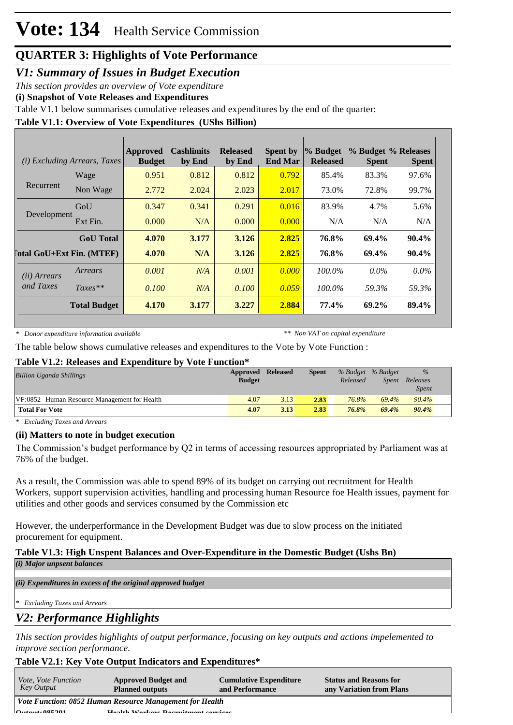*V1: Summary of Issues in Budget Execution*

*This section provides an overview of Vote expenditure* 

**(i) Snapshot of Vote Releases and Expenditures**

Table V1.1 below summarises cumulative releases and expenditures by the end of the quarter:

## **Table V1.1: Overview of Vote Expenditures (UShs Billion)**

|                           | ( <i>i</i> ) Excluding Arrears, Taxes | Approved<br><b>Budget</b> | <b>Cashlimits</b><br>by End | <b>Released</b><br>by End | <b>Spent by</b><br><b>End Mar</b> | % Budget<br><b>Released</b> | % Budget % Releases<br><b>Spent</b> | <b>Spent</b> |
|---------------------------|---------------------------------------|---------------------------|-----------------------------|---------------------------|-----------------------------------|-----------------------------|-------------------------------------|--------------|
|                           | Wage                                  | 0.951                     | 0.812                       | 0.812                     | 0.792                             | 85.4%                       | 83.3%                               | 97.6%        |
| Recurrent                 | Non Wage                              | 2.772                     | 2.024                       | 2.023                     | 2.017                             | 73.0%                       | 72.8%                               | 99.7%        |
|                           | GoU                                   | 0.347                     | 0.341                       | 0.291                     | 0.016                             | 83.9%                       | 4.7%                                | 5.6%         |
| Development               | Ext Fin.                              | 0.000                     | N/A                         | 0.000                     | 0.000                             | N/A                         | N/A                                 | N/A          |
|                           | <b>GoU</b> Total                      | 4.070                     | 3.177                       | 3.126                     | 2.825                             | 76.8%                       | 69.4%                               | $90.4\%$     |
| [otal GoU+Ext Fin. (MTEF) |                                       | 4.070                     | N/A                         | 3.126                     | 2.825                             | 76.8%                       | 69.4%                               | 90.4%        |
| ( <i>ii</i> ) Arrears     | Arrears                               | 0.001                     | N/A                         | 0.001                     | 0.000                             | $100.0\%$                   | $0.0\%$                             | $0.0\%$      |
| and Taxes                 | $Taxes**$                             | 0.100                     | N/A                         | 0.100                     | 0.059                             | $100.0\%$                   | 59.3%                               | 59.3%        |
|                           | <b>Total Budget</b>                   | 4.170                     | 3.177                       | 3.227                     | 2.884                             | 77.4%                       | 69.2%                               | 89.4%        |

*\* Donor expenditure information available*

*\*\* Non VAT on capital expenditure*

The table below shows cumulative releases and expenditures to the Vote by Vote Function :

#### **Table V1.2: Releases and Expenditure by Vote Function\***

| <b>Billion Uganda Shillings</b>              | Approved<br><b>Budget</b> | <b>Released</b> | <b>Spent</b> | Released | % Budget % Budget<br>Spent | $\%$<br>Releases<br><i>Spent</i> |
|----------------------------------------------|---------------------------|-----------------|--------------|----------|----------------------------|----------------------------------|
| VF:0852 Human Resource Management for Health | 4.07                      | 3.13            | 2.83         | 76.8%    | 69.4%                      | 90.4%                            |
| <b>Total For Vote</b>                        | 4.07                      | 3.13            | 2.83         | 76.8%    | 69.4%                      | 90.4%                            |

*\* Excluding Taxes and Arrears*

## **(ii) Matters to note in budget execution**

The Commission's budget performance by Q2 in terms of accessing resources appropriated by Parliament was at 76% of the budget.

As a result, the Commission was able to spend 89% of its budget on carrying out recruitment for Health Workers, support supervision activities, handling and processing human Resource foe Health issues, payment for utilities and other goods and services consumed by the Commission etc

However, the underperformance in the Development Budget was due to slow process on the initiated procurement for equipment.

#### **Table V1.3: High Unspent Balances and Over-Expenditure in the Domestic Budget (Ushs Bn)** *(i) Major unpsent balances*

*(ii) Expenditures in excess of the original approved budget*

*\* Excluding Taxes and Arrears*

## *V2: Performance Highlights*

*This section provides highlights of output performance, focusing on key outputs and actions impelemented to improve section performance.*

## **Table V2.1: Key Vote Output Indicators and Expenditures\***

| <i>Vote, Vote Function</i><br>Key Output | <b>Approved Budget and</b><br><b>Planned outputs</b>     | <b>Cumulative Expenditure</b><br>and Performance | <b>Status and Reasons for</b><br>any Variation from Plans |
|------------------------------------------|----------------------------------------------------------|--------------------------------------------------|-----------------------------------------------------------|
|                                          | Vote Function: 0852 Human Resource Management for Health |                                                  |                                                           |
| $0.4$ $0.4$ $0.6$ $0.701$                | Hoolth Workow Doomitmont compose                         |                                                  |                                                           |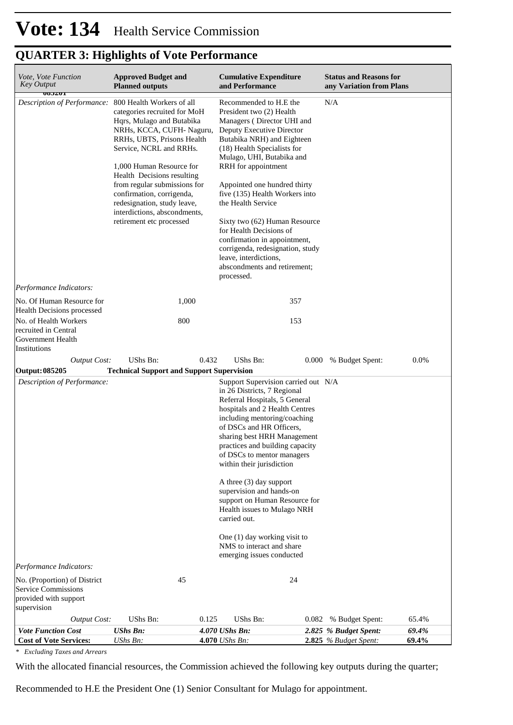| Vote, Vote Function<br><b>Key Output</b><br>$\overline{000201}$                                    | <b>Approved Budget and</b><br><b>Planned outputs</b>                                                                                                                                                                                                                                                                                                                                           | <b>Cumulative Expenditure</b><br>and Performance                                                                                                                                                                                                                                                                                                                                                                                                                                                                                                                | <b>Status and Reasons for</b><br>any Variation from Plans        |
|----------------------------------------------------------------------------------------------------|------------------------------------------------------------------------------------------------------------------------------------------------------------------------------------------------------------------------------------------------------------------------------------------------------------------------------------------------------------------------------------------------|-----------------------------------------------------------------------------------------------------------------------------------------------------------------------------------------------------------------------------------------------------------------------------------------------------------------------------------------------------------------------------------------------------------------------------------------------------------------------------------------------------------------------------------------------------------------|------------------------------------------------------------------|
| Description of Performance:                                                                        | 800 Health Workers of all<br>categories recruited for MoH<br>Hqrs, Mulago and Butabika<br>NRHs, KCCA, CUFH- Naguru,<br>RRHs, UBTS, Prisons Health<br>Service, NCRL and RRHs.<br>1,000 Human Resource for<br>Health Decisions resulting<br>from regular submissions for<br>confirmation, corrigenda,<br>redesignation, study leave,<br>interdictions, abscondments,<br>retirement etc processed | Recommended to H.E the<br>President two (2) Health<br>Managers (Director UHI and<br>Deputy Executive Director<br>Butabika NRH) and Eighteen<br>(18) Health Specialists for<br>Mulago, UHI, Butabika and<br>RRH for appointment<br>Appointed one hundred thirty<br>five (135) Health Workers into<br>the Health Service<br>Sixty two (62) Human Resource<br>for Health Decisions of<br>confirmation in appointment,<br>corrigenda, redesignation, study<br>leave, interdictions,<br>abscondments and retirement;<br>processed.                                   | $\rm N/A$                                                        |
| Performance Indicators:<br>No. Of Human Resource for                                               | 1,000                                                                                                                                                                                                                                                                                                                                                                                          | 357                                                                                                                                                                                                                                                                                                                                                                                                                                                                                                                                                             |                                                                  |
| Health Decisions processed                                                                         |                                                                                                                                                                                                                                                                                                                                                                                                |                                                                                                                                                                                                                                                                                                                                                                                                                                                                                                                                                                 |                                                                  |
| No. of Health Workers<br>recruited in Central<br>Government Health<br>Institutions                 | 800                                                                                                                                                                                                                                                                                                                                                                                            | 153                                                                                                                                                                                                                                                                                                                                                                                                                                                                                                                                                             |                                                                  |
| <b>Output Cost:</b><br><b>Output: 085205</b>                                                       | UShs Bn:<br><b>Technical Support and Support Supervision</b>                                                                                                                                                                                                                                                                                                                                   | 0.432<br><b>UShs Bn:</b>                                                                                                                                                                                                                                                                                                                                                                                                                                                                                                                                        | $0.0\%$<br>0.000<br>% Budget Spent:                              |
| Description of Performance:                                                                        |                                                                                                                                                                                                                                                                                                                                                                                                | Support Supervision carried out N/A<br>in 26 Districts, 7 Regional<br>Referral Hospitals, 5 General<br>hospitals and 2 Health Centres<br>including mentoring/coaching<br>of DSCs and HR Officers,<br>sharing best HRH Management<br>practices and building capacity<br>of DSCs to mentor managers<br>within their jurisdiction<br>A three (3) day support<br>supervision and hands-on<br>support on Human Resource for<br>Health issues to Mulago NRH<br>carried out.<br>One (1) day working visit to<br>NMS to interact and share<br>emerging issues conducted |                                                                  |
| Performance Indicators:                                                                            |                                                                                                                                                                                                                                                                                                                                                                                                |                                                                                                                                                                                                                                                                                                                                                                                                                                                                                                                                                                 |                                                                  |
| No. (Proportion) of District<br><b>Service Commissions</b><br>provided with support<br>supervision | 45                                                                                                                                                                                                                                                                                                                                                                                             | 24                                                                                                                                                                                                                                                                                                                                                                                                                                                                                                                                                              |                                                                  |
| <b>Output Cost:</b>                                                                                | UShs Bn:                                                                                                                                                                                                                                                                                                                                                                                       | 0.125<br>UShs Bn:                                                                                                                                                                                                                                                                                                                                                                                                                                                                                                                                               | % Budget Spent:<br>65.4%<br>0.082                                |
| <b>Vote Function Cost</b><br><b>Cost of Vote Services:</b>                                         | <b>UShs Bn:</b><br>UShs Bn:                                                                                                                                                                                                                                                                                                                                                                    | 4.070 UShs Bn:<br>4.070 UShs Bn:                                                                                                                                                                                                                                                                                                                                                                                                                                                                                                                                | 69.4%<br>2.825 % Budget Spent:<br>69.4%<br>2.825 % Budget Spent: |

*\* Excluding Taxes and Arrears*

With the allocated financial resources, the Commission achieved the following key outputs during the quarter;

Recommended to H.E the President One (1) Senior Consultant for Mulago for appointment.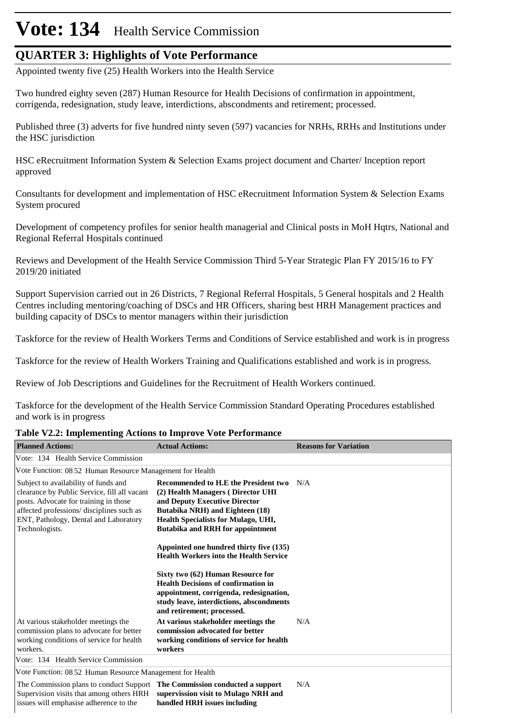# **Vote: 134** Health Service Commission

## **QUARTER 3: Highlights of Vote Performance**

Appointed twenty five (25) Health Workers into the Health Service

Two hundred eighty seven (287) Human Resource for Health Decisions of confirmation in appointment, corrigenda, redesignation, study leave, interdictions, abscondments and retirement; processed.

Published three (3) adverts for five hundred ninty seven (597) vacancies for NRHs, RRHs and Institutions under the HSC jurisdiction

HSC eRecruitment Information System & Selection Exams project document and Charter/ Inception report approved

Consultants for development and implementation of HSC eRecruitment Information System & Selection Exams System procured

Development of competency profiles for senior health managerial and Clinical posts in MoH Hqtrs, National and Regional Referral Hospitals continued

Reviews and Development of the Health Service Commission Third 5-Year Strategic Plan FY 2015/16 to FY 2019/20 initiated

Support Supervision carried out in 26 Districts, 7 Regional Referral Hospitals, 5 General hospitals and 2 Health Centres including mentoring/coaching of DSCs and HR Officers, sharing best HRH Management practices and building capacity of DSCs to mentor managers within their jurisdiction

Taskforce for the review of Health Workers Terms and Conditions of Service established and work is in progress

Taskforce for the review of Health Workers Training and Qualifications established and work is in progress.

Review of Job Descriptions and Guidelines for the Recruitment of Health Workers continued.

Taskforce for the development of the Health Service Commission Standard Operating Procedures established and work is in progress

#### **Table V2.2: Implementing Actions to Improve Vote Performance**

| <b>Planned Actions:</b>                                                                                                                                                                                                               | <b>Actual Actions:</b>                                                                                                                                                                                                          | <b>Reasons for Variation</b> |
|---------------------------------------------------------------------------------------------------------------------------------------------------------------------------------------------------------------------------------------|---------------------------------------------------------------------------------------------------------------------------------------------------------------------------------------------------------------------------------|------------------------------|
| Vote: 134 Health Service Commission                                                                                                                                                                                                   |                                                                                                                                                                                                                                 |                              |
| Vote Function: 08 52 Human Resource Management for Health                                                                                                                                                                             |                                                                                                                                                                                                                                 |                              |
| Subject to availability of funds and<br>clearance by Public Service, fill all vacant<br>posts. Advocate for training in those<br>affected professions/ disciplines such as<br>ENT, Pathology, Dental and Laboratory<br>Technologists. | Recommended to H.E the President two<br>(2) Health Managers (Director UHI<br>and Deputy Executive Director<br>Butabika NRH) and Eighteen (18)<br>Health Specialists for Mulago, UHI,<br><b>Butabika and RRH for appointment</b> | N/A                          |
|                                                                                                                                                                                                                                       | Appointed one hundred thirty five (135)<br><b>Health Workers into the Health Service</b>                                                                                                                                        |                              |
|                                                                                                                                                                                                                                       | Sixty two (62) Human Resource for<br><b>Health Decisions of confirmation in</b><br>appointment, corrigenda, redesignation,<br>study leave, interdictions, abscondments<br>and retirement; processed.                            |                              |
| At various stakeholder meetings the<br>commission plans to advocate for better<br>working conditions of service for health<br>workers.                                                                                                | At various stakeholder meetings the<br>commission advocated for better<br>working conditions of service for health<br>workers                                                                                                   | N/A                          |
| Vote: 134 Health Service Commission                                                                                                                                                                                                   |                                                                                                                                                                                                                                 |                              |
| Vote Function: 08 52 Human Resource Management for Health                                                                                                                                                                             |                                                                                                                                                                                                                                 |                              |
| The Commission plans to conduct Support<br>Supervision visits that among others HRH<br>issues will emphasise adherence to the                                                                                                         | The Commission conducted a support<br>supervission visit to Mulago NRH and<br>handled HRH issues including                                                                                                                      | N/A                          |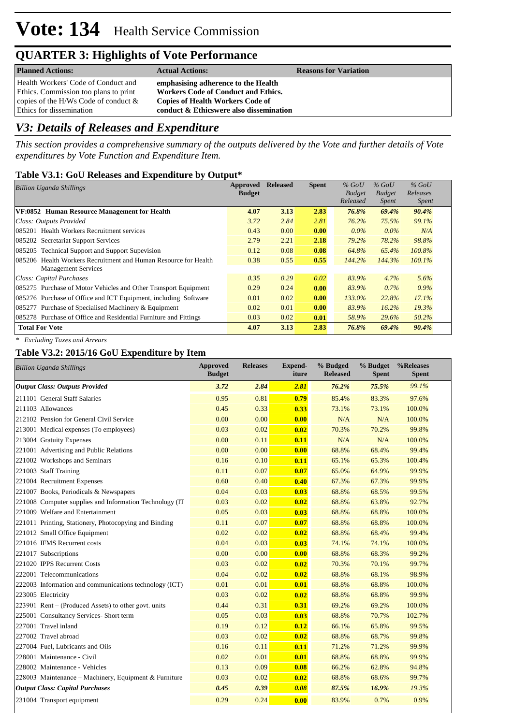| <b>Planned Actions:</b>                                                                                                                                    | <b>Actual Actions:</b>                                                                                                                                                  | <b>Reasons for Variation</b> |
|------------------------------------------------------------------------------------------------------------------------------------------------------------|-------------------------------------------------------------------------------------------------------------------------------------------------------------------------|------------------------------|
| Health Workers' Code of Conduct and<br>Ethics. Commission too plans to print<br>copies of the H/Ws Code of conduct $\&$<br><b>Ethics for dissemination</b> | emphasising adherence to the Health<br><b>Workers Code of Conduct and Ethics.</b><br><b>Copies of Health Workers Code of</b><br>conduct & Ethicswere also dissemination |                              |

## *V3: Details of Releases and Expenditure*

*This section provides a comprehensive summary of the outputs delivered by the Vote and further details of Vote expenditures by Vote Function and Expenditure Item.*

### **Table V3.1: GoU Releases and Expenditure by Output\***

| <b>Billion Uganda Shillings</b>                                  | Approved      | <b>Released</b> | <b>Spent</b> | $%$ GoU       | $%$ GoU       | $%$ GoU      |
|------------------------------------------------------------------|---------------|-----------------|--------------|---------------|---------------|--------------|
|                                                                  | <b>Budget</b> |                 |              | <b>Budget</b> | <b>Budget</b> | Releases     |
|                                                                  |               |                 |              | Released      | <i>Spent</i>  | <b>Spent</b> |
| VF:0852 Human Resource Management for Health                     | 4.07          | 3.13            | 2.83         | 76.8%         | 69.4%         | 90.4%        |
| Class: Outputs Provided                                          | 3.72          | 2.84            | 2.81         | 76.2%         | 75.5%         | 99.1%        |
| 085201 Health Workers Recruitment services                       | 0.43          | 0.00            | 0.00         | $0.0\%$       | $0.0\%$       | N/A          |
| 085202 Secretariat Support Services                              | 2.79          | 2.21            | 2.18         | 79.2%         | 78.2%         | 98.8%        |
| 085205 Technical Support and Support Supevision                  | 0.12          | 0.08            | 0.08         | 64.8%         | 65.4%         | 100.8%       |
| 085206 Health Workers Recruitment and Human Resource for Health  | 0.38          | 0.55            | 0.55         | 144.2%        | 144.3%        | 100.1%       |
| <b>Management Services</b>                                       |               |                 |              |               |               |              |
| Class: Capital Purchases                                         | 0.35          | 0.29            | 0.02         | 83.9%         | 4.7%          | 5.6%         |
| 085275 Purchase of Motor Vehicles and Other Transport Equipment  | 0.29          | 0.24            | 0.00         | 83.9%         | 0.7%          | $0.9\%$      |
| 085276 Purchase of Office and ICT Equipment, including Software  | 0.01          | 0.02            | 0.00         | 133.0%        | 22.8%         | 17.1%        |
| 085277 Purchase of Specialised Machinery & Equipment             | 0.02          | 0.01            | 0.00         | 83.9%         | 16.2%         | 19.3%        |
| 085278 Purchase of Office and Residential Furniture and Fittings | 0.03          | 0.02            | 0.01         | 58.9%         | 29.6%         | 50.2%        |
| <b>Total For Vote</b>                                            | 4.07          | 3.13            | 2.83         | 76.8%         | 69.4%         | 90.4%        |

*\* Excluding Taxes and Arrears*

## **Table V3.2: 2015/16 GoU Expenditure by Item**

| <b>Billion Uganda Shillings</b>                         | <b>Approved</b><br><b>Budget</b> | <b>Releases</b> | <b>Expend-</b><br>iture | % Budged<br><b>Released</b> | % Budget<br><b>Spent</b> | %Releases<br><b>Spent</b> |
|---------------------------------------------------------|----------------------------------|-----------------|-------------------------|-----------------------------|--------------------------|---------------------------|
| <b>Output Class: Outputs Provided</b>                   | 3.72                             | 2.84            | 2.81                    | 76.2%                       | 75.5%                    | 99.1%                     |
| 211101 General Staff Salaries                           | 0.95                             | 0.81            | 0.79                    | 85.4%                       | 83.3%                    | 97.6%                     |
| 211103 Allowances                                       | 0.45                             | 0.33            | 0.33                    | 73.1%                       | 73.1%                    | 100.0%                    |
| 212102 Pension for General Civil Service                | 0.00                             | 0.00            | 0.00                    | N/A                         | N/A                      | 100.0%                    |
| 213001 Medical expenses (To employees)                  | 0.03                             | 0.02            | 0.02                    | 70.3%                       | 70.2%                    | 99.8%                     |
| 213004 Gratuity Expenses                                | 0.00                             | 0.11            | 0.11                    | N/A                         | N/A                      | 100.0%                    |
| 221001 Advertising and Public Relations                 | 0.00                             | 0.00            | 0.00                    | 68.8%                       | 68.4%                    | 99.4%                     |
| 221002 Workshops and Seminars                           | 0.16                             | 0.10            | 0.11                    | 65.1%                       | 65.3%                    | 100.4%                    |
| 221003 Staff Training                                   | 0.11                             | 0.07            | 0.07                    | 65.0%                       | 64.9%                    | 99.9%                     |
| 221004 Recruitment Expenses                             | 0.60                             | 0.40            | 0.40                    | 67.3%                       | 67.3%                    | 99.9%                     |
| 221007 Books, Periodicals & Newspapers                  | 0.04                             | 0.03            | 0.03                    | 68.8%                       | 68.5%                    | 99.5%                     |
| 221008 Computer supplies and Information Technology (IT | 0.03                             | 0.02            | 0.02                    | 68.8%                       | 63.8%                    | 92.7%                     |
| 221009 Welfare and Entertainment                        | 0.05                             | 0.03            | 0.03                    | 68.8%                       | 68.8%                    | 100.0%                    |
| 221011 Printing, Stationery, Photocopying and Binding   | 0.11                             | 0.07            | 0.07                    | 68.8%                       | 68.8%                    | 100.0%                    |
| 221012 Small Office Equipment                           | 0.02                             | 0.02            | 0.02                    | 68.8%                       | 68.4%                    | 99.4%                     |
| 221016 IFMS Recurrent costs                             | 0.04                             | 0.03            | 0.03                    | 74.1%                       | 74.1%                    | 100.0%                    |
| 221017 Subscriptions                                    | 0.00                             | 0.00            | 0.00                    | 68.8%                       | 68.3%                    | 99.2%                     |
| 221020 IPPS Recurrent Costs                             | 0.03                             | 0.02            | 0.02                    | 70.3%                       | 70.1%                    | 99.7%                     |
| 222001 Telecommunications                               | 0.04                             | 0.02            | 0.02                    | 68.8%                       | 68.1%                    | 98.9%                     |
| 222003 Information and communications technology (ICT)  | 0.01                             | 0.01            | 0.01                    | 68.8%                       | 68.8%                    | 100.0%                    |
| 223005 Electricity                                      | 0.03                             | 0.02            | 0.02                    | 68.8%                       | 68.8%                    | 99.9%                     |
| $223901$ Rent – (Produced Assets) to other govt. units  | 0.44                             | 0.31            | 0.31                    | 69.2%                       | 69.2%                    | 100.0%                    |
| 225001 Consultancy Services- Short term                 | 0.05                             | 0.03            | 0.03                    | 68.8%                       | 70.7%                    | 102.7%                    |
| 227001 Travel inland                                    | 0.19                             | 0.12            | 0.12                    | 66.1%                       | 65.8%                    | 99.5%                     |
| 227002 Travel abroad                                    | 0.03                             | 0.02            | 0.02                    | 68.8%                       | 68.7%                    | 99.8%                     |
| 227004 Fuel, Lubricants and Oils                        | 0.16                             | 0.11            | 0.11                    | 71.2%                       | 71.2%                    | 99.9%                     |
| 228001 Maintenance - Civil                              | 0.02                             | 0.01            | 0.01                    | 68.8%                       | 68.8%                    | 99.9%                     |
| 228002 Maintenance - Vehicles                           | 0.13                             | 0.09            | 0.08                    | 66.2%                       | 62.8%                    | 94.8%                     |
| 228003 Maintenance – Machinery, Equipment & Furniture   | 0.03                             | 0.02            | 0.02                    | 68.8%                       | 68.6%                    | 99.7%                     |
| <b>Output Class: Capital Purchases</b>                  | 0.45                             | 0.39            | 0.08                    | 87.5%                       | 16.9%                    | 19.3%                     |
| 231004 Transport equipment                              | 0.29                             | 0.24            | 0.00                    | 83.9%                       | 0.7%                     | 0.9%                      |